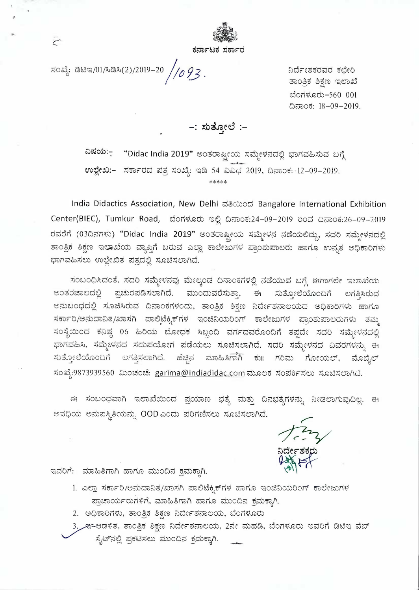

ಸಂಖ್ಯೆ: ಡಿಟಿಇ/01/ಸಿಡಿಸಿ(2)/2019-20 //093.

ನಿರ್ದೇಶಕರವರ ಕಛೇರಿ ತಾಂತ್ರಿಕ ಶಿಕ್ಷಣ ಇಲಾಖೆ c:lon~JclCD-560 **<sup>001</sup>** ದಿನಾಂಕ: 18-09-2019.

-: ಸುತ್ತೋಲೆ :-

**~~cili:- "Didac India 2019"** eo3oo~eoil AJc3)f<Jc3d(:) 2-Jc)T\cJ&AJ);j 2Jii *g* **e, M** I ('\ -:- w~e.0:- AJffi:lFdd c::13. *AJomi ~~* 54 :W:W1:;) 2019, t:icJuoi5: 12-09-2019. \*\*\*\*\*

**India Didactics Association, New Delhi &8cood Bangalore International Exhibition** Center(BIEC), Tumkur Road, ಬೆಂಗಳೂರು ಇಲ್ಲಿ ದಿನಾಂಕ:24-09-2019 ರಿಂದ ದಿನಾಂಕ:26-09-2019 ರವರೆಗೆ (03ದಿನಗಳು) "Didac India 2019" ಅಂತರಾಷ್ಟ್ರೀಯ ಸಮ್ಮೇಳನ ನಡೆಯಲಿದ್ದು, ಸದರಿ ಸಮ್ಮೇಳನದಲ್ಲಿ **6LJ00.5 85[c) ~~moil c3LJ** *;0r\* **2JCD;j wexl ffi:leJe2::,)n<J c:Jo,O;;;bc:JoeJCD ttwnJcl Wc3,3 e.:>Qffi:lClT\90 - :.v\ ::)....c M ~ C\.**  ಭಾಗವಹಿಸಲು ಉಲ್ಲೇಖಿತ ಪತ್ರದಲ್ಲಿ ಸೂಚಿಸಲಾಗಿದೆ.

**AJ02JOEJ**1 **AJd03, AJC3Cl AJc3)e;i;j;j, c3)eeJO{]** *DcJu0'6T\9(:)* **c3~o:fu;j 2Jr\** *ffiTwneJe* **~e.,~moil e,"~ U <sup>M</sup>***<sup>n</sup>* ಅಂತರಜಾಲದಲ್ಲಿ ಪ್ರಚುರಪಡಿಸಲಾಗಿದೆ. ಮುಂದುವರೆಸುತ್ತಾ. ಈ ಸುತ್ತೋಲೆಯೊಂದಿಗೆ ಲಗತ್ತಿಸಿರುವ **e::i:)2Jod**1 **d(:) AJJcl2JAJd)C::S DcJu0'5n9od:), 6LJ00.5 85EB c0cieF~cJueJoild e.:>Dffi:lClT\90 a:wr\..Jc) M ..- ;....)i <sup>I</sup>**  $\pi$ ರ್ಕಾರಿ/ಅನುದಾನಿತ/ಖಾಸಗಿ ಪಾಲಿಟೆಕ್ನಿಕ್ಗಳ ಇಂಜಿನಿಯರಿಂಗ್ ಕಾಲೇಜುಗಳ ಪ್ರಾಂಶುಪಾಲರುಗಳು ತಮ್ಮ ಸಂಸ್ಥೆಯಿಂದ ಕನಿಷ್ಯ 06 ಹಿರಿಯ ಬೋಧಕ ಸಿಬ್ಬಂದಿ ವರ್ಗದವರೊಂದಿಗೆ ತಪ್ಪದೇ ಸದರಿ ಸಮ್ಮೇಳನದಲ್ಲಿ ್ಲಿ "<br>ಭಾಗವಹಿಸಿ, ಸಮ್ಮೇಳನದ ಸದುಪಯೋಗ ಪಡೆಯಲು ಸೂಚಿಸಲಾಗಿದೆ. ಸದರಿ ಸಮ್ಮೇಳನದ ವಿವರಗಳನ್ನು ಈ ಸುತ್ತೋಲೆಯೊಂದಿಗೆ ಲಗತ್ತಿಸಲಾಗಿದೆ. ಹೆಚ್ಚಿನ ಮಾಹಿತಿಗಾಗಿ ಕು॥ ಗರಿಮ ಗೋಯಲ್, ಮೊಬೈಲ್ ಸುತ್ತೂೕಲಯೊಂದಿಗ ಲಗತ್ತಿಸಲಾಗಿದೆ. ಹಚ್ಚಿನ ಮಾಹಿತಿಗಾಗಿ ಕು॥ ಗರಿಮ ಗೋಯಲ್, ಮೂ<br>ಸಂಖ್ಯೆ:9873939560 ಮಿಂಚಂಚೆ: <u>garima@indiadidac.com</u> ಮೂಲಕ ಸಂಪರ್ಕಿಸಲು ಸೂಚಿಸಲಾಗಿದೆ.

ಈ ಸಂಬಂಧವಾಗಿ ಇಲಾಖೆಯಿಂದ ಪ್ರಯಾಣ ಭತ್ಯೆ ಮತ್ತು ದಿನಭತ್ಯೆಗಳನ್ನು ನೀಡಲಾಗುವುದಿಲ್ಲ. ಈ ~ ;j ti, oil t:J ::i:) c::J Ai 0 oil c3:), **0 0 D** w o d:) cd Cl *n* rci ;;j eJ0 AJJcl 23 Ale.,~ Fl ci. (;J ..... *r* 

ುಂಪಿಕ್ ಸಿಲು ಸೂಚಿಸಿಲಾಗಿದೆ.<br>ತೈಗಳನ್ನು ನೀಡಲಾಗುವುದಿಲ್ಲ. ಈ<br>ನಿರ್ದೇಶಕರು<br>ವಿರ್<mark>ದೇಶಕರು</mark> **N~~f"~**   $\frac{1}{x}$ 

ಇವರಿಗೆ: ಮಾಹಿತಿಗಾಗಿ ಹಾಗೂ ಮುಂದಿನ ಕಮಕ್ಕಾಗಿ.

1. ಎಲ್ಲಾ ಸರ್ಕಾರಿ/ಅನುದಾನಿತ/ಖಾಸಗಿ ಪಾಲಿಟೆಕ್ನಿಕ್ಗಳ ಹಾಗೂ ಇಂಜಿನಿಯರಿಂಗ್ ಕಾಲೇಜುಗಳ **c:Jo2.ouoilFCDn9ii, cJ-Ju&07BFI a:wr\..Jc) ~oDc3 5.cJJffi:l,FI. - ~ tt** 

2. ಅಧಿಕಾರಿಗಳು, ತಾಂತ್ರಿಕ ಶಿಕ್ಷಣ ನಿರ್ದೇಶನಾಲಯ, ಬೆಂಗಳೂರು

3. ೫-ಆಡಳಿತ, ತಾಂತ್ರಿಕ ಶಿಕ್ಷಣ ನಿರ್ದೇಶನಾಲಯ, 2ನೇ ಮಹಡಿ, ಬೆಂಗಳೂರು ಇವರಿಗೆ ಡಿಟಿಇ ವೆಬ್ ಸೈಟ್ ನಲ್ಲಿ ಪ್ರಕಟಿಸಲು ಮುಂದಿನ ಕ್ರಮಕ್ಕಾಗಿ.

 $\overline{r}$ 

.•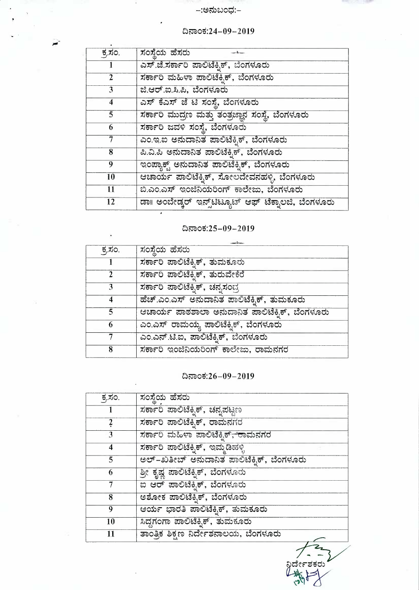price G)

| ಕ್ಕಸಂ.            | ಸಂಸ್ಥೆಯ ಹೆಸರು                                        |
|-------------------|------------------------------------------------------|
|                   | ಸರ್ಕಾರಿ ಪಾಲಿಟೆಕ್ನಿಕ್, ಚನ್ನಪಟ್ಟಣ                      |
| $\frac{2}{\cdot}$ | ಸರ್ಕಾರಿ ಪಾಲಿಟೆಕ್ನಿಕ್, ರಾಮನಗರ                         |
| 3                 | <u>ಸರ್ಕಾರಿ ಮಹಿಳಾ ಪಾಲಿಟೆಕ್ನಿಕ್<del>, ರ</del>ಾಮನಗರ</u> |
| 4                 | ಸರ್ಕಾರಿ ಪಾಲಿಟೆಕ್ಶಿಕ್, ಇಮ್ಮಡಿಹಳ್ಳಿ                    |
| 5                 | ಅಲ್–ಖತೀಬ್ ಅನುದಾನಿತ ಪಾಲಿಟೆಕ್ನಿಕ್, ಬೆಂಗಳೂರು            |
| 6                 | ಶ್ರೀ ಕೃಷ್ಣ ಪಾಲಿಟೆಕ್ನಿಕ್, ಬೆಂಗಳೂರು                    |
|                   | ಐ ಆರ್ ಪಾಲಿಟೆಕ್ನಿಕ್, ಬೆಂಗಳೂರು                         |
| 8                 | ಅಶೋಕ ಪಾಲಿಟೆಕ್ಸಿಕ್, ಬೆಂಗಳೂರು                          |
| 9                 | ಆರ್ಯ ಭಾರತಿ ಪಾಲಿಟೆಕ್ನಿಕ್, ತುಮಕೂರು                     |
| 10                | ಸಿದ್ದಗಂಗಾ ಪಾಲಿಟೆಕ್ಕಿಕ್, ತುಮಕೂರು                      |
| 11                | ತಾಂತ್ರಿಕ ಶಿಕ್ಷಣ ನಿರ್ದೇಶನಾಲಯ, ಬೆಂಗಳೂರು                |
|                   |                                                      |

## ದಿನಾಂಕ: $26-09-2019$

| ಸಂಸ್ಥೆಯ ಹೆಸರು<br>ಕ್ಕಸಂ.<br>ಸರ್ಕಾರಿ ಪಾಲಿಟೆಕ್ಸಿಕ್, ತುಮಕೂರು<br>ಸರ್ಕಾರಿ ಪಾಲಿಟೆಕ್ಸಿಕ್, ತುರುವೇಕೆರೆ<br>ಸರ್ಕಾರಿ ಪಾಲಿಟೆಕ್ಕಿಕ್, ಚನ್ನಸಂದ್ರ<br>3<br>ಹೆಚ್.ಎಂ.ಎಸ್ ಅನುದಾನಿತ ಪಾಲಿಟೆಕ್ಕಿಕ್, ತುಮಕೂರು<br>ಆಚಾರ್ಯ ಪಾಠಶಾಲಾ ಅನುದಾನಿತ ಪಾಲಿಟೆಕ್ಕಿಕ್, ಬೆಂಗಳೂರು<br>5 |
|-------------------------------------------------------------------------------------------------------------------------------------------------------------------------------------------------------------------------------------------|
|                                                                                                                                                                                                                                           |
|                                                                                                                                                                                                                                           |
|                                                                                                                                                                                                                                           |
|                                                                                                                                                                                                                                           |
|                                                                                                                                                                                                                                           |
|                                                                                                                                                                                                                                           |
| ಎಂ.ಎಸ್ ರಾಮಯ್ಯ ಪಾಲಿಟೆಕ್ಕಿಕ್, ಬೆಂಗಳೂರು<br>6                                                                                                                                                                                                 |
| ಎಂ.ಎನ್.ಟಿ.ಐ, ಪಾಲಿಟೆಕ್ನಿಕ್, ಬೆಂಗಳೂರು                                                                                                                                                                                                       |
| ಸರ್ಕಾರಿ ಇಂಜಿನಿಯರಿಂಗ್ ಕಾಲೇಜು, ರಾಮನಗರ<br>8                                                                                                                                                                                                  |

## ದಿನಾಂಕ:25-09-2019

| ಕ್ಕಸಂ.          | ಸಂಸ್ಥೆಯ ಹೆಸರು                                               |
|-----------------|-------------------------------------------------------------|
|                 | ಎಸ್.ಜೆ.ಸರ್ಕಾರಿ ಪಾಲಿಟೆಕ್ಕಿಕ್, ಬೆಂಗಳೂರು                       |
| $\mathbf{2}$    | ಸರ್ಕಾರಿ ಮಹಿಳಾ ಪಾಲಿಟೆಕ್ಸಿಕ್, ಬೆಂಗಳೂರು                        |
| $\mathbf{3}$    | ಜಿ.ಆರ್.ಐ.ಸಿ.ಪಿ, ಬೆಂಗಳೂರು                                    |
| 4               | ಎಸ್ ಕೆಎಸ್ ಜೆ ಟಿ ಸಂಸ್ಥೆ, ಬೆಂಗಳೂರು                            |
| 5               | ಸರ್ಕಾರಿ ಮುದ್ರಣ ಮತ್ತು ತಂತ್ರಜ್ಞಾನ ಸಂಸ್ಥೆ, ಬೆಂಗಳೂರು            |
| 6               | ಸರ್ಕಾರಿ ಜವಳಿ ಸಂಸ್ಥೆ, ಬೆಂಗಳೂರು                               |
| 7               | ಎಂ.ಇ.ಐ ಅನುದಾನಿತ ಪಾಲಿಟೆಕ್ಟಿಕ್, ಬೆಂಗಳೂರು                      |
| 8               | ಪಿ.ವಿ.ಪಿ ಅನುದಾನಿತ ಪಾಲಿಟೆಕ್ನಿಕ್, ಬೆಂಗಳೂರು                    |
| 9               | ಇಂಪ್ಯಾಕ್ಟ್ ಅನುದಾನಿತ ಪಾಲಿಟೆಕ್ನಿಕ್, ಬೆಂಗಳೂರು                  |
| 10              | ಆಚಾರ್ಯ ಪಾಲಿಟೆಕ್ನಿಕ್, ಸೋಲದೇವನಹಳ್ಳಿ, ಬೆಂಗಳೂರು                 |
| $\overline{11}$ | ಬಿ.ಎಂ.ಎಸ್ ಇಂಜಿನಿಯರಿಂಗ್ ಕಾಲೇಜು, ಬೆಂಗಳೂರು                     |
| 12              | ಡಾ။ ಅಂಬೇಡ್ಕರ್ ಇನ್ಸ್ <b>ಟೆಟ್ಯೂಟ್ ಆಫ್ ಟೆಕ್ನಾಲಜಿ, ಬೆಂಗಳೂರು</b> |

# ದಿನಾಂಕ:24–09–2019

~